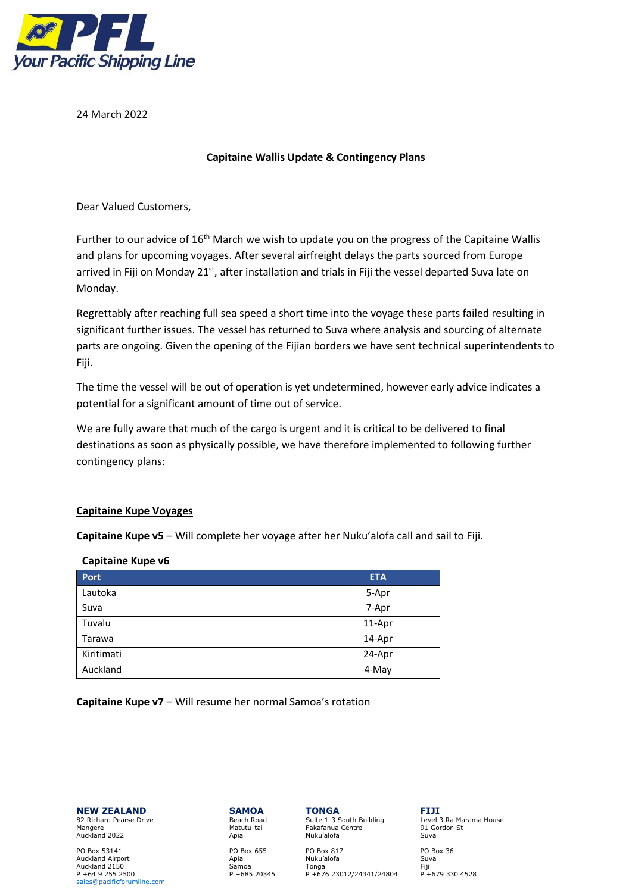

24 March 2022

## **Capitaine Wallis Update & Contingency Plans**

Dear Valued Customers,

Further to our advice of 16<sup>th</sup> March we wish to update you on the progress of the Capitaine Wallis and plans for upcoming voyages. After several airfreight delays the parts sourced from Europe arrived in Fiji on Monday 21<sup>st</sup>, after installation and trials in Fiji the vessel departed Suva late on Monday.

Regrettably after reaching full sea speed a short time into the voyage these parts failed resulting in significant further issues. The vessel has returned to Suva where analysis and sourcing of alternate parts are ongoing. Given the opening of the Fijian borders we have sent technical superintendents to Fiji.

The time the vessel will be out of operation is yet undetermined, however early advice indicates a potential for a significant amount of time out of service.

We are fully aware that much of the cargo is urgent and it is critical to be delivered to final destinations as soon as physically possible, we have therefore implemented to following further contingency plans:

# **Capitaine Kupe Voyages**

**Capitaine Kupe v5** – Will complete her voyage after her Nuku'alofa call and sail to Fiji.

| <b>Port</b> | <b>ETA</b> |
|-------------|------------|
| Lautoka     | 5-Apr      |
| Suva        | 7-Apr      |
| Tuvalu      | 11-Apr     |
| Tarawa      | 14-Apr     |
| Kiritimati  | 24-Apr     |
| Auckland    | 4-May      |

### **Capitaine Kupe v6**

**Capitaine Kupe v7** – Will resume her normal Samoa's rotation

**NEW ZEALAND SAMOA TONGA FIJI**<br> **R2** Richard Pearse Drive **Beach Road Suite 1-3** South Building **Level 3 Ra Marama House** 

PO Box 53141 PO Box 655 PO Box 817 PO Box 36<br>
Auckland Airport Christ Andreas Andreas Angle Nuku'alofa Suva P +64 9 255 2500 P +685 20345 P +676 23012/24341/24804 P +679 330 4528 [sales@pacificforumline.com](mailto:sales@pacificforumline.com)

82 Richard Pearse Drive Suite 1-3 South Building Elevel 3 Ra Marama House Case Natural Suite 1-3 South Building<br>Mangere 191 Gordon St Fakafanua Centre<br>Nuku'alofa Auckland 2022 Apia Nuku'alofa Suva

Auckland Airport Apia Nuku'alofa Suva Auckland 2150 Samoa Tonga Fiji